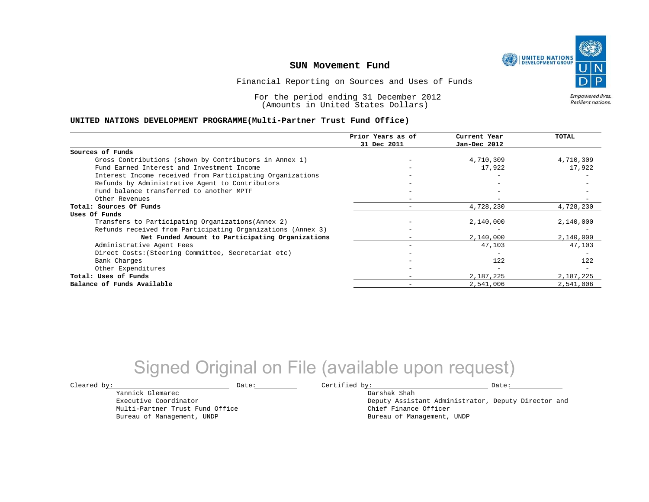

Financial Reporting on Sources and Uses of Funds

For the period ending 31 December 2012 (Amounts in United States Dollars)

Empowered lives. Resilient nations.

#### **UNITED NATIONS DEVELOPMENT PROGRAMME(Multi-Partner Trust Fund Office)**

|                                                             | Prior Years as of | Current Year             | TOTAL     |
|-------------------------------------------------------------|-------------------|--------------------------|-----------|
|                                                             | 31 Dec 2011       | Jan-Dec 2012             |           |
| Sources of Funds                                            |                   |                          |           |
| Gross Contributions (shown by Contributors in Annex 1)      |                   | 4,710,309                | 4,710,309 |
| Fund Earned Interest and Investment Income                  |                   | 17,922                   | 17,922    |
| Interest Income received from Participating Organizations   |                   |                          |           |
| Refunds by Administrative Agent to Contributors             |                   | $\overline{\phantom{m}}$ |           |
| Fund balance transferred to another MPTF                    |                   |                          |           |
| Other Revenues                                              |                   |                          |           |
| Total: Sources Of Funds                                     |                   | 4,728,230                | 4,728,230 |
| Uses Of Funds                                               |                   |                          |           |
| Transfers to Participating Organizations (Annex 2)          |                   | 2,140,000                | 2,140,000 |
| Refunds received from Participating Organizations (Annex 3) |                   |                          |           |
| Net Funded Amount to Participating Organizations            |                   | 2,140,000                | 2,140,000 |
| Administrative Agent Fees                                   |                   | 47,103                   | 47,103    |
| Direct Costs: (Steering Committee, Secretariat etc)         |                   |                          |           |
| Bank Charges                                                |                   | 122                      | 122       |
| Other Expenditures                                          |                   | $\overline{\phantom{m}}$ |           |
| Total: Uses of Funds                                        |                   | 2,187,225                | 2,187,225 |
| Balance of Funds Available                                  |                   | 2,541,006                | 2,541,006 |

# Signed Original on File (available upon request)

Cleared by: Natural Date: Date: Certified by: Date: Date: Date: Date: Date: Date: Date: Date: Date: Date: Date: Date: Date: Date: Date: Date: Date: Date: Date: Date: Date: Date: Date: Date: Date: Date: Date: Date: Date: Da

Darshak Shah

Deputy Assistant Administrator, Deputy Director and Chief Finance Officer Bureau of Management, UNDP

Executive Coordinator Multi-Partner Trust Fund Office Bureau of Management, UNDP

Yannick Glemarec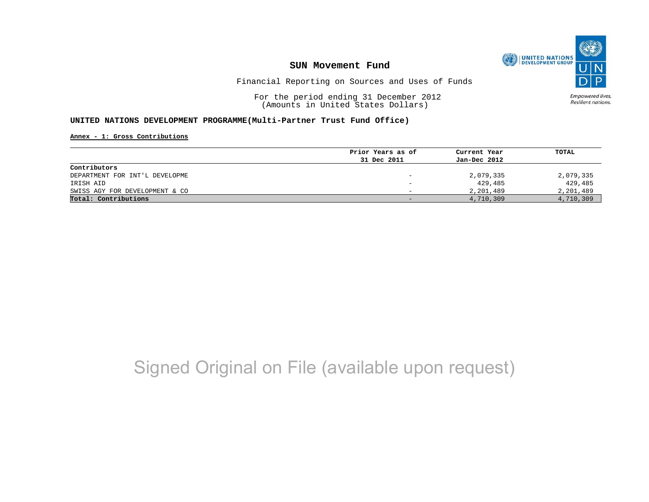

Financial Reporting on Sources and Uses of Funds

For the period ending 31 December 2012 (Amounts in United States Dollars)

Empowered lives. Resilient nations.

#### **UNITED NATIONS DEVELOPMENT PROGRAMME(Multi-Partner Trust Fund Office)**

**Annex - 1: Gross Contributions**

|                                | Prior Years as of | Current Year | TOTAL     |
|--------------------------------|-------------------|--------------|-----------|
|                                | 31 Dec 2011       | Jan-Dec 2012 |           |
| Contributors                   |                   |              |           |
| DEPARTMENT FOR INT'L DEVELOPME |                   | 2,079,335    | 2,079,335 |
| IRISH AID                      |                   | 429,485      | 429,485   |
| SWISS AGY FOR DEVELOPMENT & CO |                   | 2,201,489    | 2,201,489 |
| Total: Contributions           |                   | 4,710,309    | 4,710,309 |
|                                |                   |              |           |

# Signed Original on File (available upon request)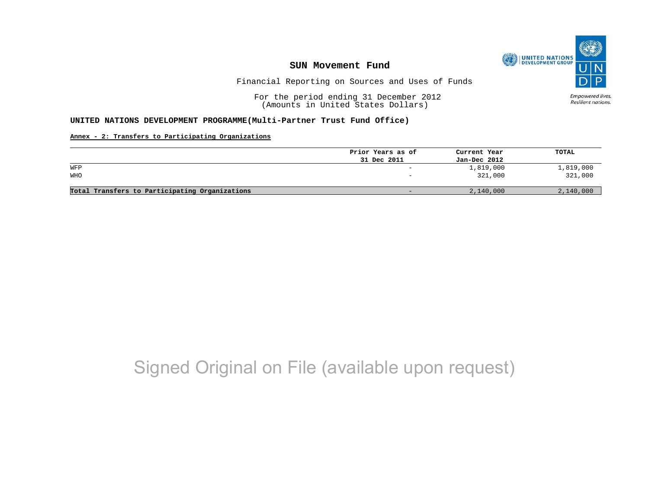

Financial Reporting on Sources and Uses of Funds

For the period ending 31 December 2012 (Amounts in United States Dollars)

Empowered lives. Resilient nations.

### **UNITED NATIONS DEVELOPMENT PROGRAMME(Multi-Partner Trust Fund Office)**

**Annex - 2: Transfers to Participating Organizations**

|                                                | Prior Years as of        | Current Year | TOTAL     |
|------------------------------------------------|--------------------------|--------------|-----------|
|                                                | 31 Dec 2011              | Jan-Dec 2012 |           |
| WFP                                            | $\overline{\phantom{0}}$ | 1,819,000    | 1,819,000 |
| WHO                                            | $\overline{\phantom{0}}$ | 321,000      | 321,000   |
|                                                |                          |              |           |
| Total Transfers to Participating Organizations | -                        | 2,140,000    | 2,140,000 |

# Signed Original on File (available upon request)